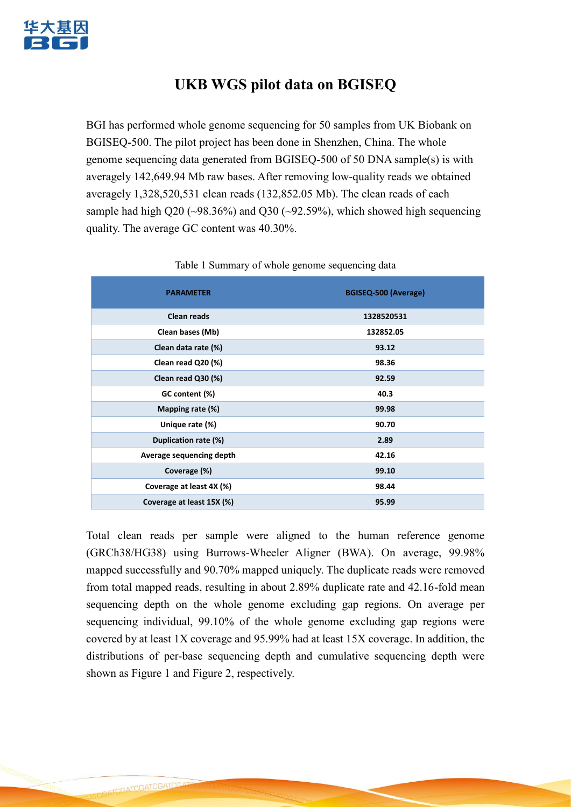

## **UKB WGS pilot data on BGISEQ**

BGI has performed whole genome sequencing for 50 samples from UK Biobank on BGISEQ-500. The pilot project has been done in Shenzhen, China. The whole genome sequencing data generated from BGISEQ-500 of 50 DNA sample(s) is with averagely 142,649.94 Mb raw bases. After removing low-quality reads we obtained averagely 1,328,520,531 clean reads (132,852.05 Mb). The clean reads of each sample had high Q20 ( $\sim$ 98.36%) and Q30 ( $\sim$ 92.59%), which showed high sequencing quality. The average GC content was 40.30%.

| <b>PARAMETER</b>          | BGISEQ-500 (Average) |
|---------------------------|----------------------|
| <b>Clean reads</b>        | 1328520531           |
| Clean bases (Mb)          | 132852.05            |
| Clean data rate (%)       | 93.12                |
| Clean read Q20 (%)        | 98.36                |
| Clean read Q30 (%)        | 92.59                |
| GC content (%)            | 40.3                 |
| Mapping rate (%)          | 99.98                |
| Unique rate (%)           | 90.70                |
| Duplication rate (%)      | 2.89                 |
| Average sequencing depth  | 42.16                |
| Coverage (%)              | 99.10                |
| Coverage at least 4X (%)  | 98.44                |
| Coverage at least 15X (%) | 95.99                |

## Table 1 Summary of whole genome sequencing data

Total clean reads per sample were aligned to the human reference genome (GRCh38/HG38) using Burrows-Wheeler Aligner (BWA). On average, 99.98% mapped successfully and 90.70% mapped uniquely. The duplicate reads were removed from total mapped reads, resulting in about 2.89% duplicate rate and 42.16-fold mean sequencing depth on the whole genome excluding gap regions. On average per sequencing individual, 99.10% of the whole genome excluding gap regions were covered by at least 1X coverage and 95.99% had at least 15X coverage. In addition, the distributions of per-base sequencing depth and cumulative sequencing depth were shown as Figure 1 and Figure 2, respectively.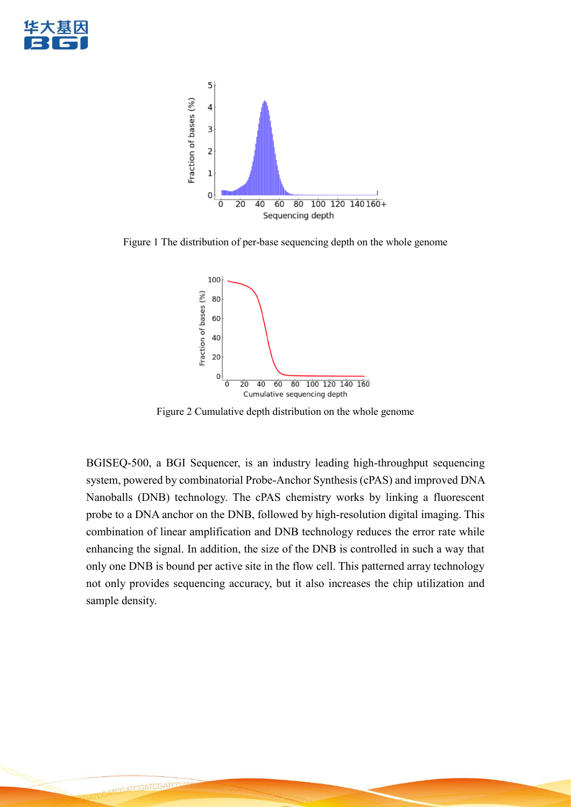



Figure 1 The distribution of per-base sequencing depth on the whole genome



Figure 2 Cumulative depth distribution on the whole genome

BGISEQ-500, a BGI Sequencer, is an industry leading high-throughput sequencing system, powered by combinatorial Probe-Anchor Synthesis (cPAS) and improved DNA Nanoballs (DNB) technology. The cPAS chemistry works by linking a fluorescent probe to a DNA anchor on the DNB, followed by high-resolution digital imaging. This combination of linear amplification and DNB technology reduces the error rate while enhancing the signal. In addition, the size of the DNB is controlled in such a way that only one DNB is bound per active site in the flow cell. This patterned array technology not only provides sequencing accuracy, but it also increases the chip utilization and sample density.